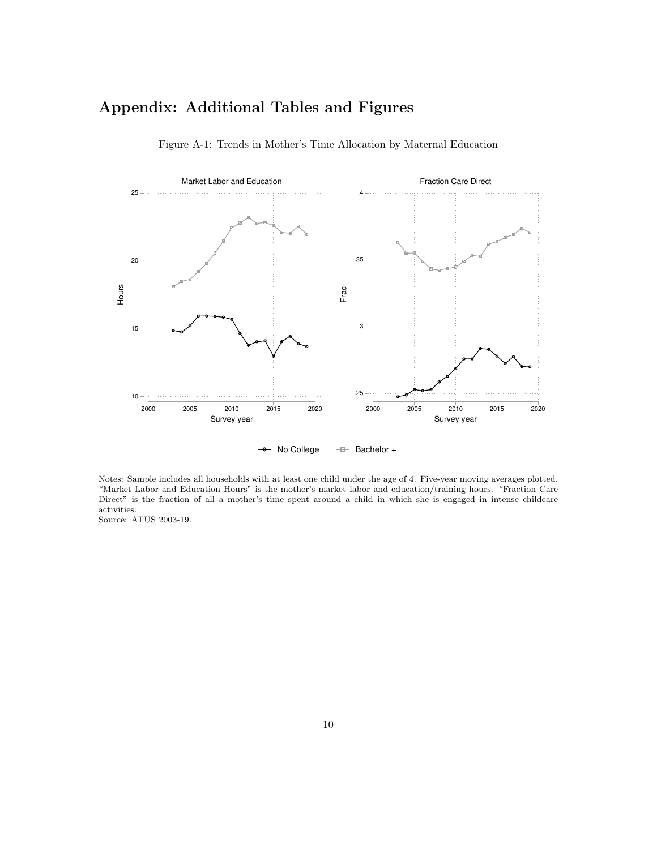# Appendix: Additional Tables and Figures



Figure A-1: Trends in Mother's Time Allocation by Maternal Education

No College  $-\equiv$  Bachelor +

Notes: Sample includes all households with at least one child under the age of 4. Five-year moving averages plotted. "Market Labor and Education Hours" is the mother's market labor and education/training hours. "Fraction Care Direct" is the fraction of all a mother's time spent around a child in which she is engaged in intense childcare activities.

Source: ATUS 2003-19.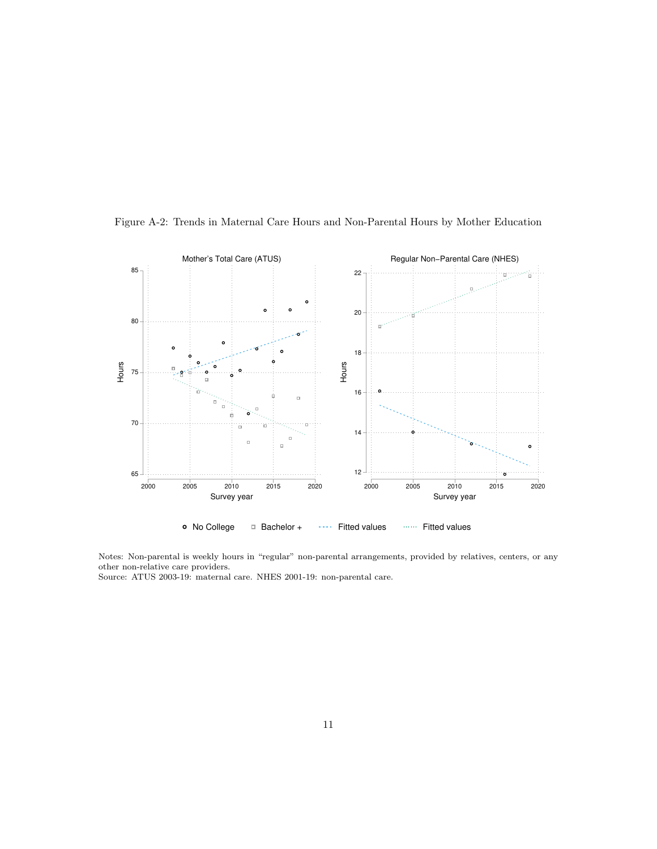

Figure A-2: Trends in Maternal Care Hours and Non-Parental Hours by Mother Education

Notes: Non-parental is weekly hours in "regular" non-parental arrangements, provided by relatives, centers, or any other non-relative care providers.

Source: ATUS 2003-19: maternal care. NHES 2001-19: non-parental care.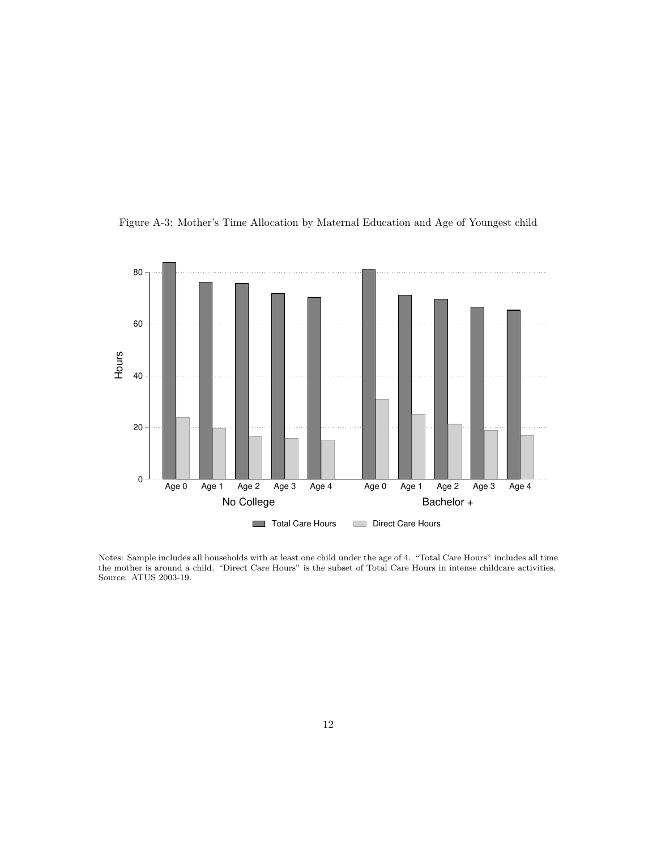

Figure A-3: Mother's Time Allocation by Maternal Education and Age of Youngest child

Notes: Sample includes all households with at least one child under the age of 4. "Total Care Hours" includes all time the mother is around a child. "Direct Care Hours" is the subset of Total Care Hours in intense childcare activities. Source: ATUS 2003-19.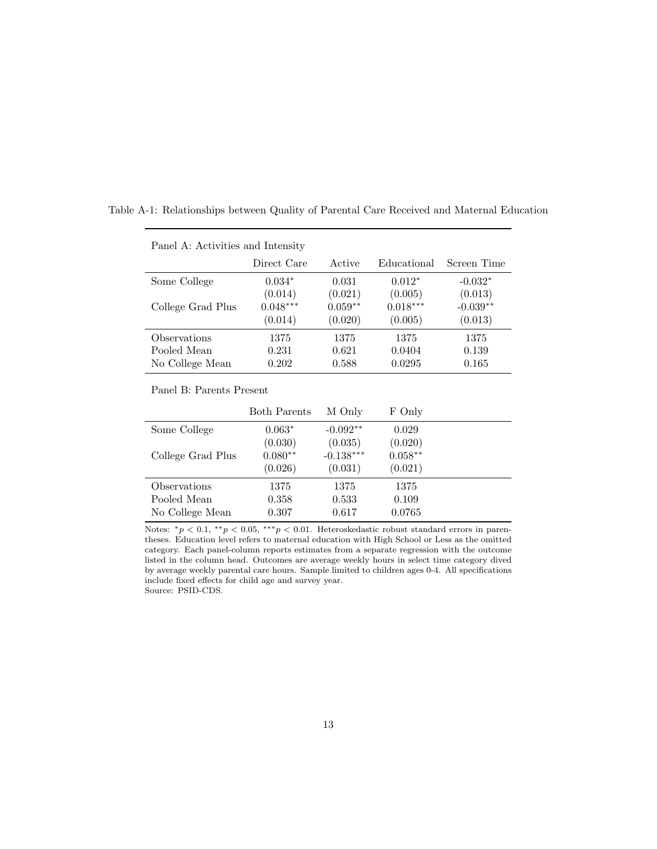| Panel A: Activities and Intensity |             |           |             |             |  |  |  |  |  |
|-----------------------------------|-------------|-----------|-------------|-------------|--|--|--|--|--|
|                                   | Direct Care | Active    | Educational | Screen Time |  |  |  |  |  |
| Some College                      | $0.034*$    | 0.031     | $0.012*$    | $-0.032*$   |  |  |  |  |  |
|                                   | (0.014)     | (0.021)   | (0.005)     | (0.013)     |  |  |  |  |  |
| College Grad Plus                 | $0.048***$  | $0.059**$ | $0.018***$  | $-0.039**$  |  |  |  |  |  |
|                                   | (0.014)     | (0.020)   | (0.005)     | (0.013)     |  |  |  |  |  |
| Observations                      | 1375        | 1375      | 1375        | 1375        |  |  |  |  |  |
| Pooled Mean                       | 0.231       | 0.621     | 0.0404      | 0.139       |  |  |  |  |  |
| No College Mean                   | 0.202       | 0.588     | 0.0295      | 0.165       |  |  |  |  |  |

Table A-1: Relationships between Quality of Parental Care Received and Maternal Education

Panel B: Parents Present

|                   | <b>Both Parents</b> | M Only      | F Only    |  |
|-------------------|---------------------|-------------|-----------|--|
| Some College      | $0.063*$            | $-0.092**$  | 0.029     |  |
|                   | (0.030)             | (0.035)     | (0.020)   |  |
| College Grad Plus | $0.080**$           | $-0.138***$ | $0.058**$ |  |
|                   | (0.026)             | (0.031)     | (0.021)   |  |
| Observations      | 1375                | 1375        | 1375      |  |
| Pooled Mean       | 0.358               | 0.533       | 0.109     |  |
| No College Mean   | 0.307               | 0.617       | 0.0765    |  |

Notes:  $*_p$  < 0.1,  $*_p$  < 0.05,  $^{***}p$  < 0.01. Heteroskedastic robust standard errors in parentheses. Education level refers to maternal education with High School or Less as the omitted category. Each panel-column reports estimates from a separate regression with the outcome listed in the column head. Outcomes are average weekly hours in select time category dived by average weekly parental care hours. Sample limited to children ages 0-4. All specifications include fixed effects for child age and survey year. Source: PSID-CDS.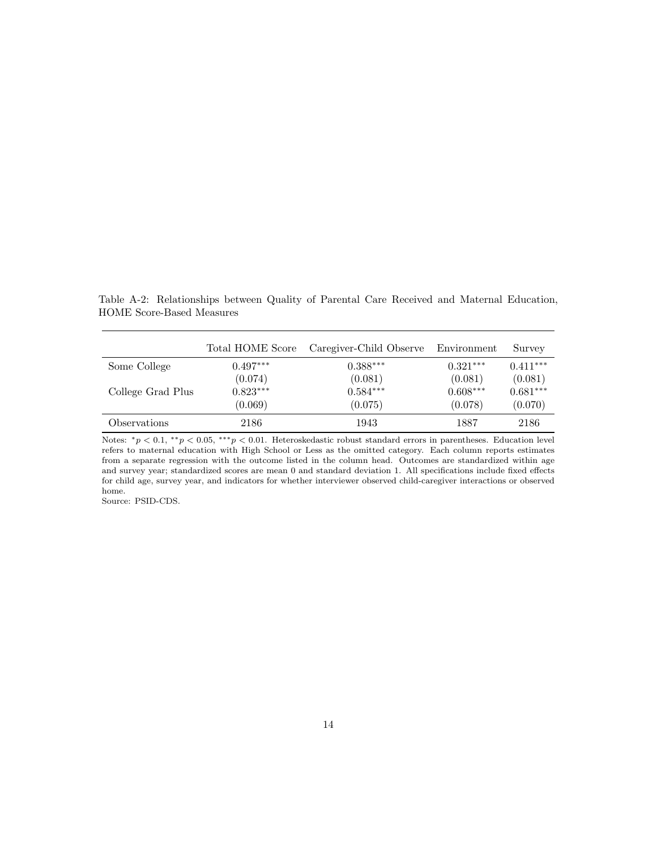Table A-2: Relationships between Quality of Parental Care Received and Maternal Education, HOME Score-Based Measures

|                   | Total HOME Score | Caregiver-Child Observe Environment |            | Survey     |
|-------------------|------------------|-------------------------------------|------------|------------|
| Some College      | $0.497***$       | $0.388***$                          | $0.321***$ | $0.411***$ |
|                   | (0.074)          | (0.081)                             | (0.081)    | (0.081)    |
| College Grad Plus | $0.823***$       | $0.584***$                          | $0.608***$ | $0.681***$ |
|                   | (0.069)          | (0.075)                             | (0.078)    | (0.070)    |
| Observations      | 2186             | 1943                                | 1887       | 2186       |

Notes:  $^*p < 0.1$ ,  $^{**}p < 0.05$ ,  $^{***}p < 0.01$ . Heteroskedastic robust standard errors in parentheses. Education level refers to maternal education with High School or Less as the omitted category. Each column reports estimates from a separate regression with the outcome listed in the column head. Outcomes are standardized within age and survey year; standardized scores are mean 0 and standard deviation 1. All specifications include fixed effects for child age, survey year, and indicators for whether interviewer observed child-caregiver interactions or observed home.

Source: PSID-CDS.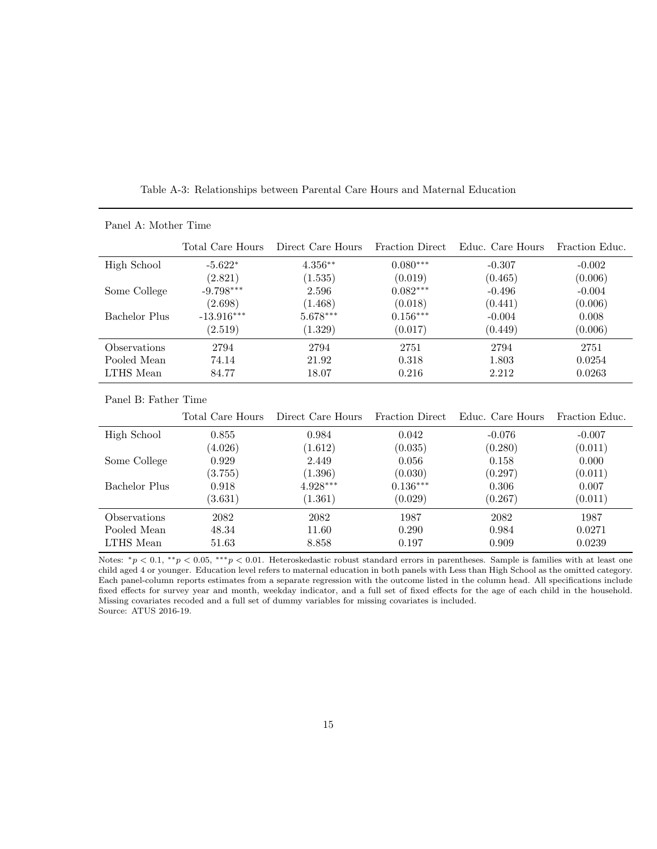|                            | Total Care Hours | Direct Care Hours | <b>Fraction Direct</b> | Educ. Care Hours | Fraction Educ. |
|----------------------------|------------------|-------------------|------------------------|------------------|----------------|
| High School                | $-5.622*$        | $4.356**$         | $0.080***$             | $-0.307$         | $-0.002$       |
|                            | (2.821)          | (1.535)           | (0.019)                | (0.465)          | (0.006)        |
| Some College               | $-9.798***$      | 2.596             | $0.082***$             | $-0.496$         | $-0.004$       |
|                            | (2.698)          | (1.468)           | (0.018)                | (0.441)          | (0.006)        |
| Bachelor Plus              | $-13.916***$     | $5.678***$        | $0.156***$             | $-0.004$         | 0.008          |
|                            | (2.519)          | (1.329)           | (0.017)                | (0.449)          | (0.006)        |
| <i><b>Observations</b></i> | 2794             | 2794              | 2751                   | 2794             | 2751           |
| Pooled Mean                | 74.14            | 21.92             | 0.318                  | 1.803            | 0.0254         |
| LTHS Mean                  | 84.77            | 18.07             | 0.216                  | 2.212            | 0.0263         |

Table A-3: Relationships between Parental Care Hours and Maternal Education

Panel B: Father Time

Panel A: Mother Time

|                            | Total Care Hours | Direct Care Hours | <b>Fraction Direct</b> | Educ. Care Hours | Fraction Educ. |
|----------------------------|------------------|-------------------|------------------------|------------------|----------------|
| High School                | 0.855            | 0.984             | 0.042                  | $-0.076$         | $-0.007$       |
|                            | (4.026)          | (1.612)           | (0.035)                | (0.280)          | (0.011)        |
| Some College               | 0.929            | 2.449             | 0.056                  | 0.158            | 0.000          |
|                            | (3.755)          | (1.396)           | (0.030)                | (0.297)          | (0.011)        |
| Bachelor Plus              | 0.918            | $4.928***$        | $0.136***$             | 0.306            | 0.007          |
|                            | (3.631)          | (1.361)           | (0.029)                | (0.267)          | (0.011)        |
| <i><b>Observations</b></i> | 2082             | 2082              | 1987                   | 2082             | 1987           |
| Pooled Mean                | 48.34            | 11.60             | 0.290                  | 0.984            | 0.0271         |
| LTHS Mean                  | 51.63            | 8.858             | 0.197                  | 0.909            | 0.0239         |

Notes: \* $p < 0.1$ , \*\* $p < 0.05$ , \*\*\* $p < 0.01$ . Heteroskedastic robust standard errors in parentheses. Sample is families with at least one child aged 4 or younger. Education level refers to maternal education in both panels with Less than High School as the omitted category. Each panel-column reports estimates from a separate regression with the outcome listed in the column head. All specifications include fixed effects for survey year and month, weekday indicator, and a full set of fixed effects for the age of each child in the household. Missing covariates recoded and a full set of dummy variables for missing covariates is included. Source: ATUS 2016-19.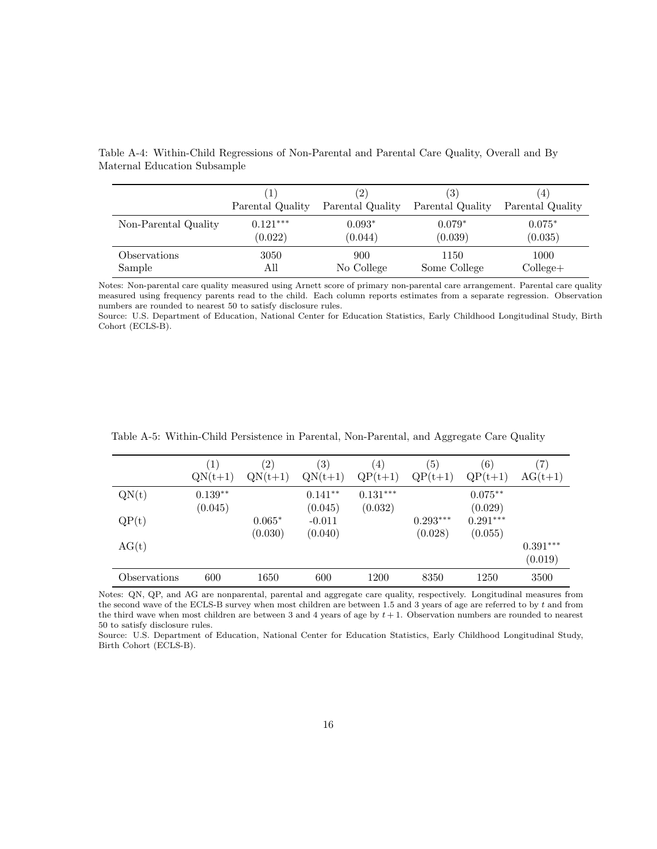|                      | 1                | $^{\prime}2)$    | $\left( 3\right)$ | (4)               |
|----------------------|------------------|------------------|-------------------|-------------------|
|                      | Parental Quality | Parental Quality | Parental Quality  | Parental Quality  |
| Non-Parental Quality | $0.121***$       | $0.093*$         | $0.079*$          | $0.075*$          |
|                      | (0.022)          | (0.044)          | (0.039)           | (0.035)           |
| Observations         | 3050             | 900              | 1150              | 1000              |
| Sample               | All              | No College       | Some College      | $\text{College+}$ |

Table A-4: Within-Child Regressions of Non-Parental and Parental Care Quality, Overall and By Maternal Education Subsample

Notes: Non-parental care quality measured using Arnett score of primary non-parental care arrangement. Parental care quality measured using frequency parents read to the child. Each column reports estimates from a separate regression. Observation numbers are rounded to nearest 50 to satisfy disclosure rules.

Source: U.S. Department of Education, National Center for Education Statistics, Early Childhood Longitudinal Study, Birth Cohort (ECLS-B).

|              | $\left(1\right)$<br>$QN(t+1)$ | $\left( 2\right)$<br>$QN(t+1)$ | $\left( 3\right)$<br>$QN(t+1)$ | (4)<br>$QP(t+1)$      | (5)<br>$QP(t+1)$      | (6)<br>$QP(t+1)$      | (7)<br>$AG(t+1)$      |
|--------------|-------------------------------|--------------------------------|--------------------------------|-----------------------|-----------------------|-----------------------|-----------------------|
| QN(t)        | $0.139**$<br>(0.045)          |                                | $0.141**$<br>(0.045)           | $0.131***$<br>(0.032) |                       | $0.075**$<br>(0.029)  |                       |
| QP(t)        |                               | $0.065*$<br>(0.030)            | $-0.011$<br>(0.040)            |                       | $0.293***$<br>(0.028) | $0.291***$<br>(0.055) |                       |
| AG(t)        |                               |                                |                                |                       |                       |                       | $0.391***$<br>(0.019) |
| Observations | 600                           | 1650                           | 600                            | 1200                  | 8350                  | 1250                  | 3500                  |

Table A-5: Within-Child Persistence in Parental, Non-Parental, and Aggregate Care Quality

Notes: QN, QP, and AG are nonparental, parental and aggregate care quality, respectively. Longitudinal measures from the second wave of the ECLS-B survey when most children are between  $1.5$  and 3 years of age are referred to by  $t$  and from the third wave when most children are between 3 and 4 years of age by  $t + 1$ . Observation numbers are rounded to nearest 50 to satisfy disclosure rules.

Source: U.S. Department of Education, National Center for Education Statistics, Early Childhood Longitudinal Study, Birth Cohort (ECLS-B).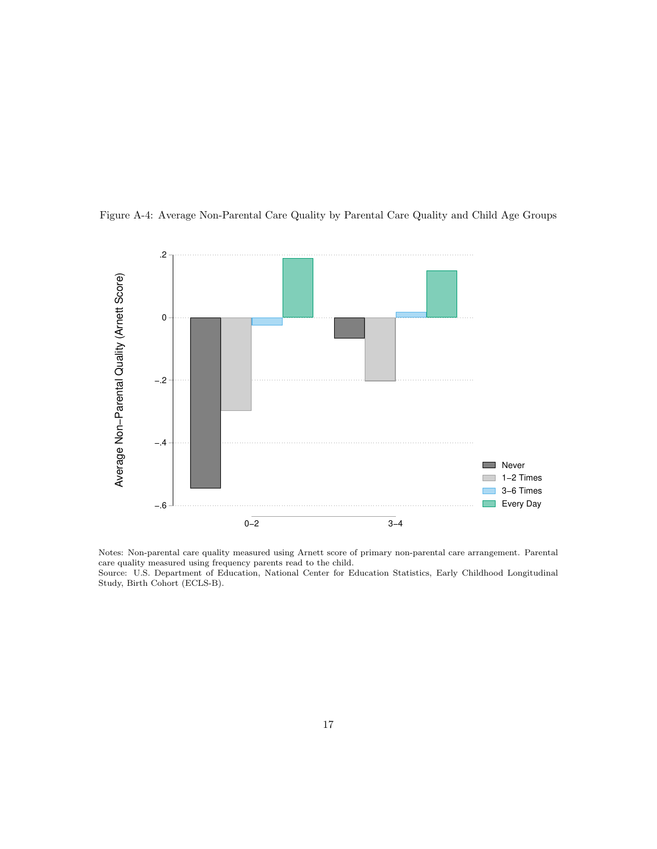

Figure A-4: Average Non-Parental Care Quality by Parental Care Quality and Child Age Groups

Notes: Non-parental care quality measured using Arnett score of primary non-parental care arrangement. Parental care quality measured using frequency parents read to the child. Source: U.S. Department of Education, National Center for Education Statistics, Early Childhood Longitudinal Study, Birth Cohort (ECLS-B).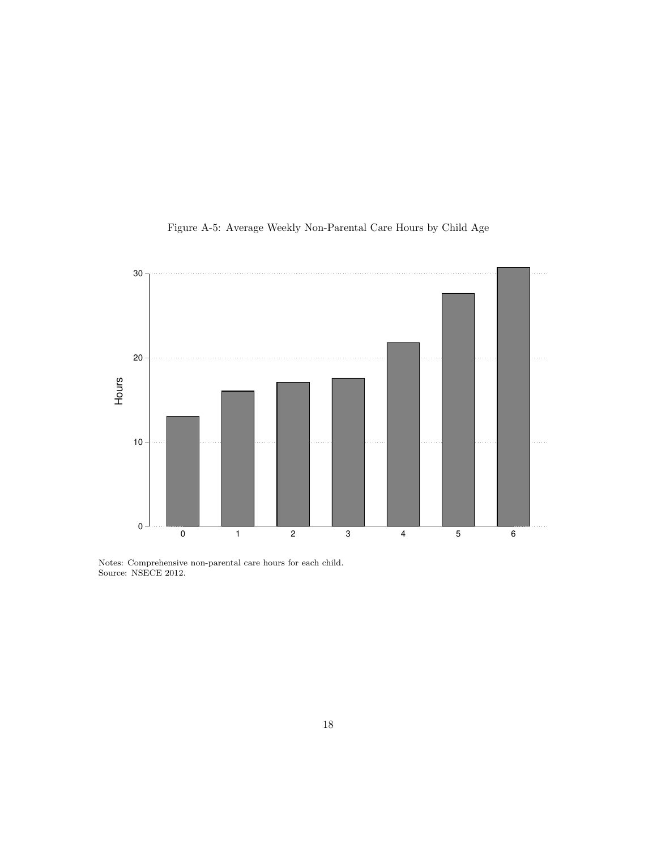

Figure A-5: Average Weekly Non-Parental Care Hours by Child Age

Notes: Comprehensive non-parental care hours for each child. Source: NSECE 2012.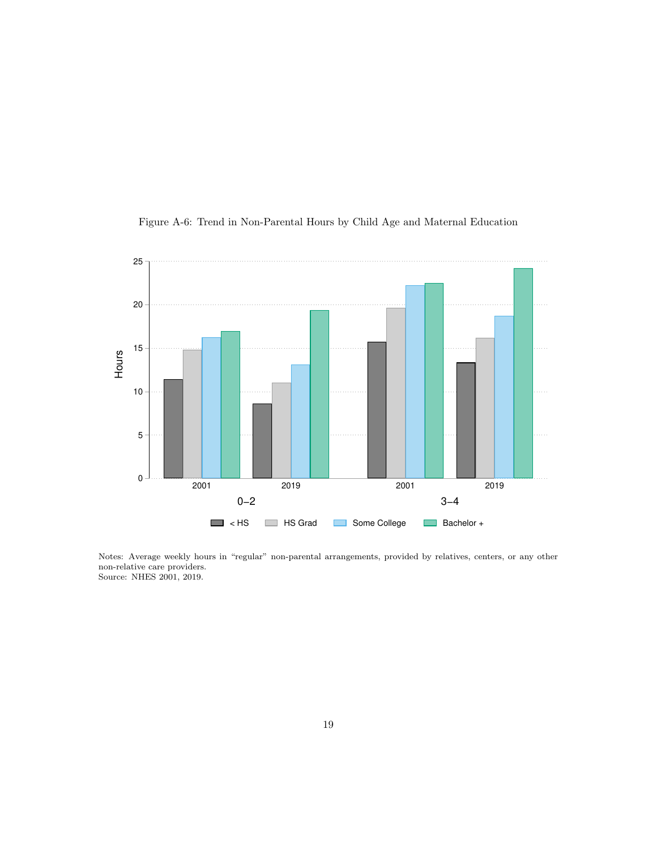

Figure A-6: Trend in Non-Parental Hours by Child Age and Maternal Education

Notes: Average weekly hours in "regular" non-parental arrangements, provided by relatives, centers, or any other non-relative care providers. Source: NHES 2001, 2019.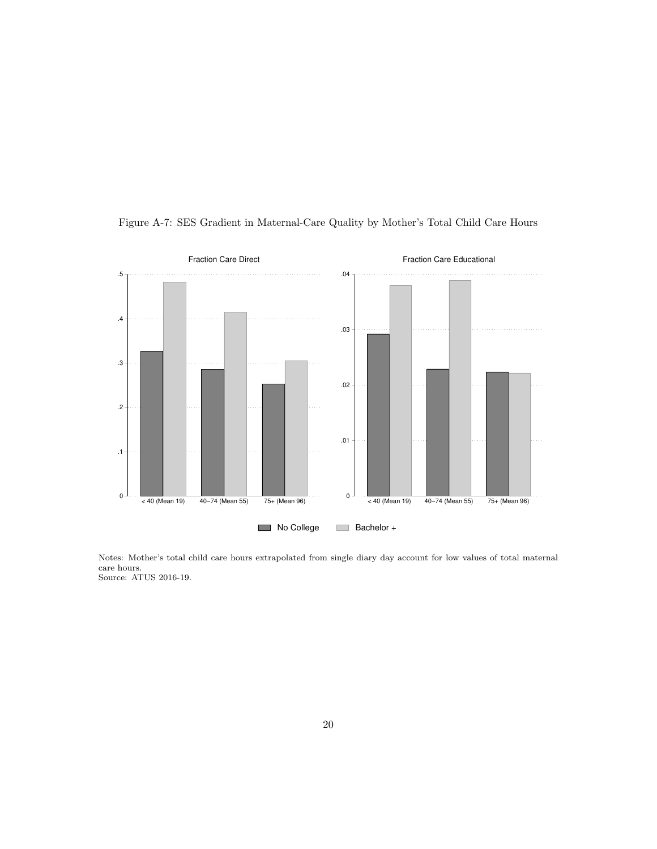

Figure A-7: SES Gradient in Maternal-Care Quality by Mother's Total Child Care Hours

Notes: Mother's total child care hours extrapolated from single diary day account for low values of total maternal care hours. Source: ATUS 2016-19.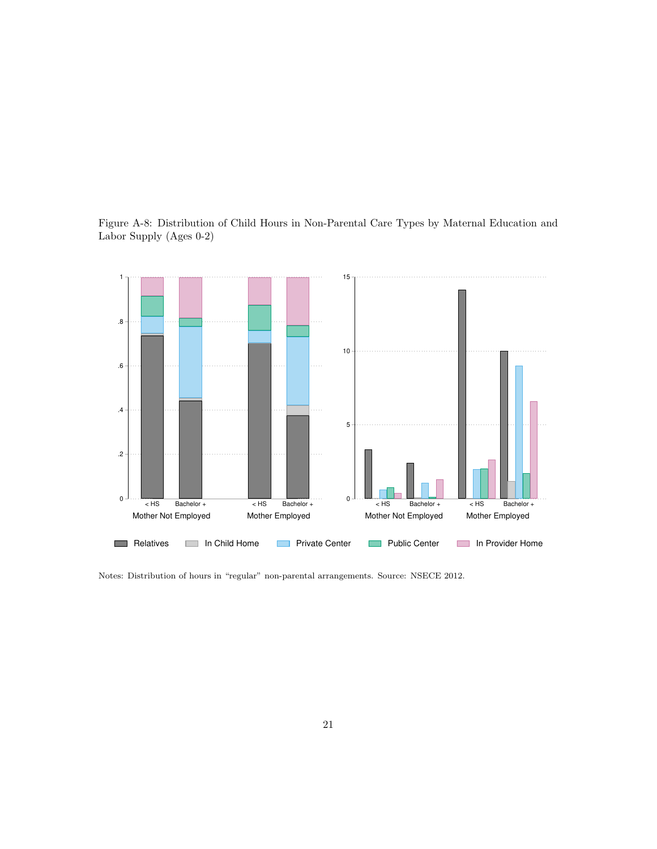



Notes: Distribution of hours in "regular" non-parental arrangements. Source: NSECE 2012.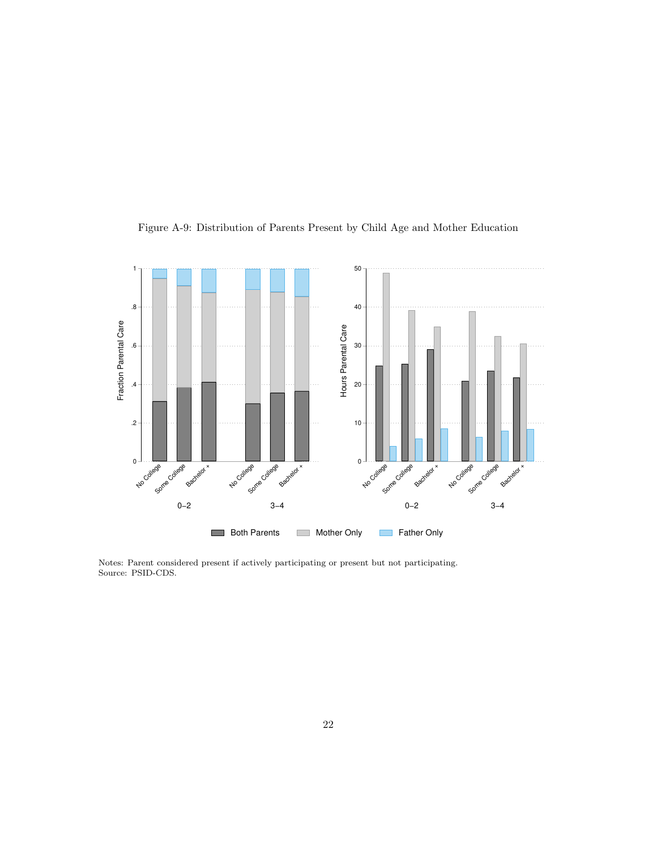

Figure A-9: Distribution of Parents Present by Child Age and Mother Education

Notes: Parent considered present if actively participating or present but not participating. Source: PSID-CDS.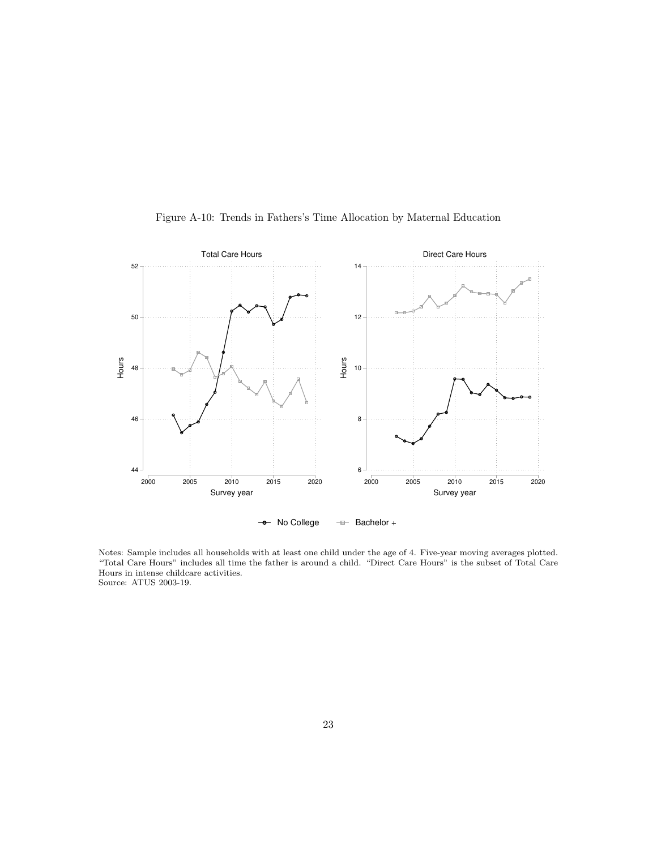

Figure A-10: Trends in Fathers's Time Allocation by Maternal Education

Notes: Sample includes all households with at least one child under the age of 4. Five-year moving averages plotted. "Total Care Hours" includes all time the father is around a child. "Direct Care Hours" is the subset of Total Care Hours in intense childcare activities. Source: ATUS 2003-19.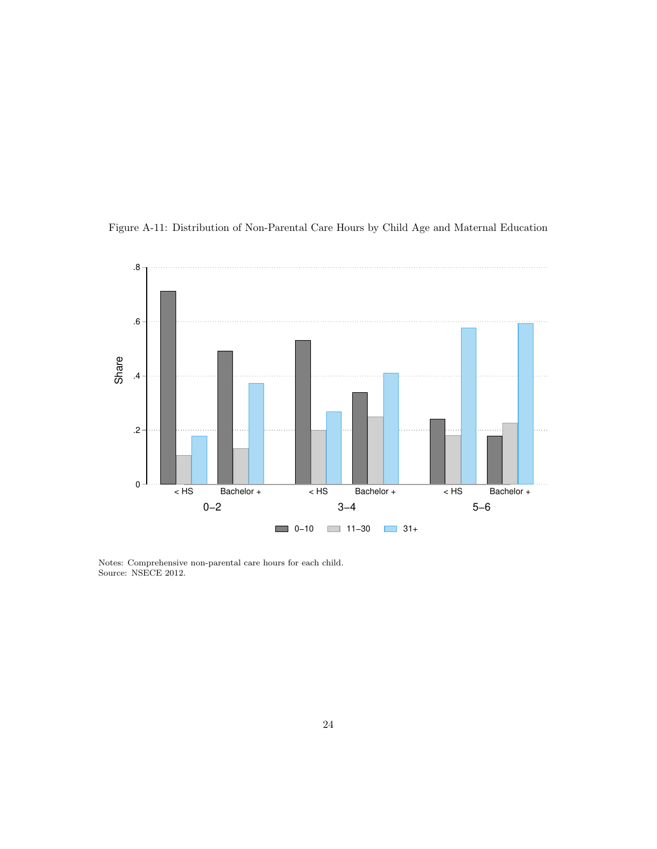

Figure A-11: Distribution of Non-Parental Care Hours by Child Age and Maternal Education

Notes: Comprehensive non-parental care hours for each child. Source: NSECE 2012.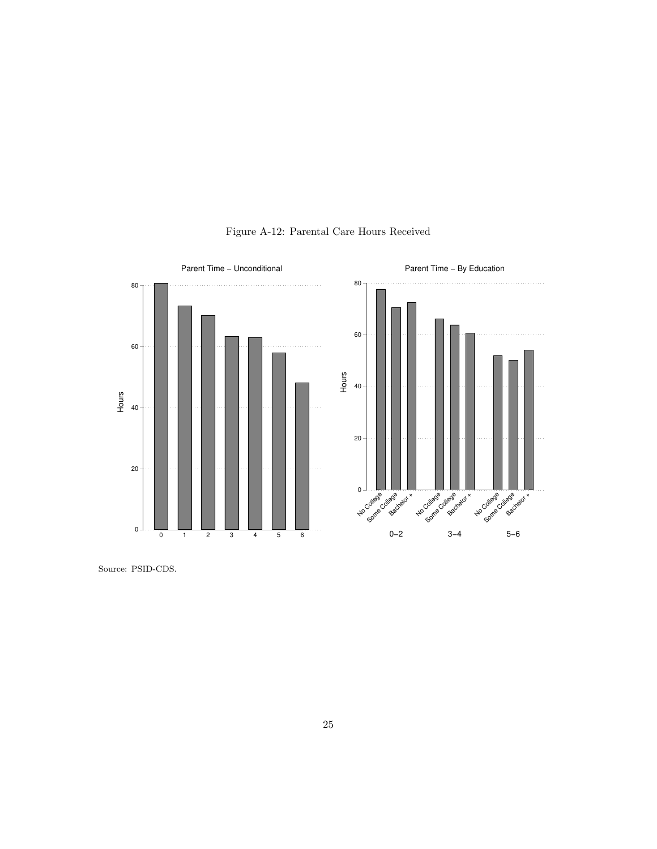

Figure A-12: Parental Care Hours Received

Source: PSID-CDS.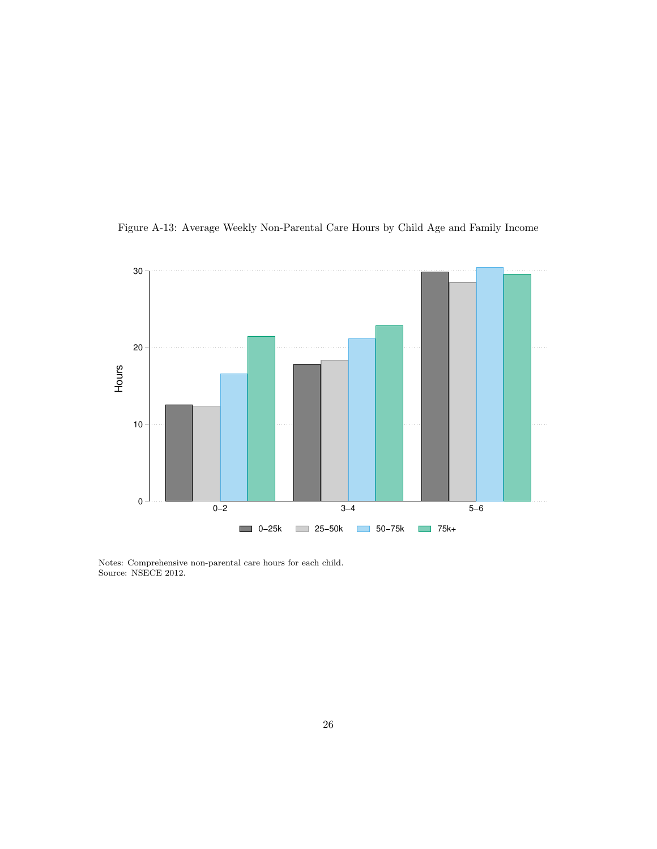



Notes: Comprehensive non-parental care hours for each child. Source: NSECE 2012.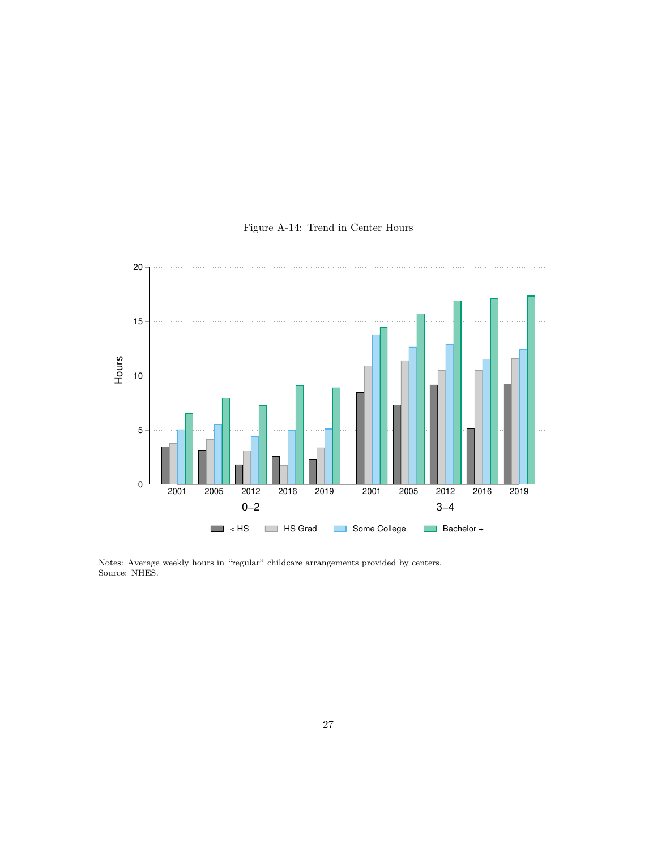

## Figure A-14: Trend in Center Hours

Notes: Average weekly hours in "regular" childcare arrangements provided by centers. Source: NHES.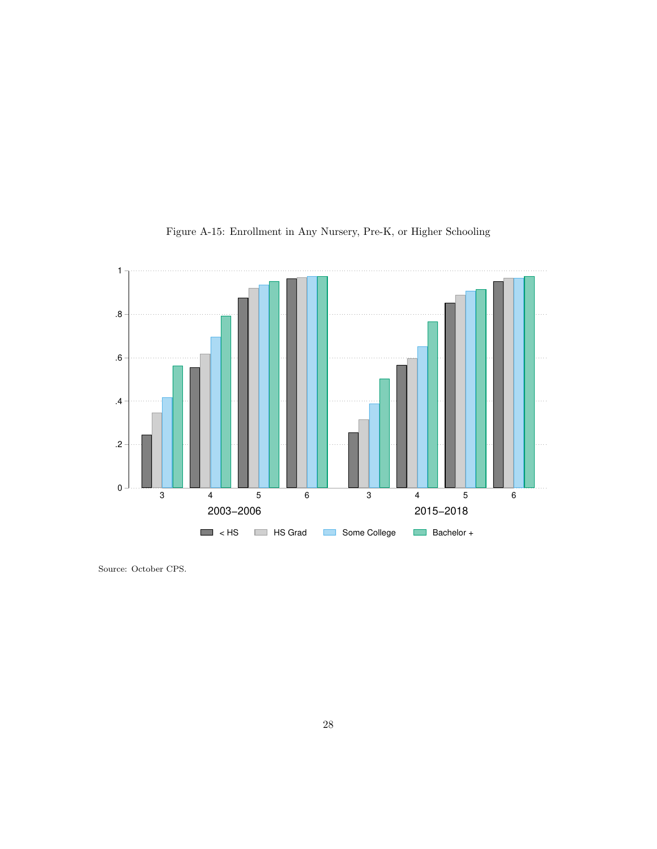

Figure A-15: Enrollment in Any Nursery, Pre-K, or Higher Schooling

Source: October CPS.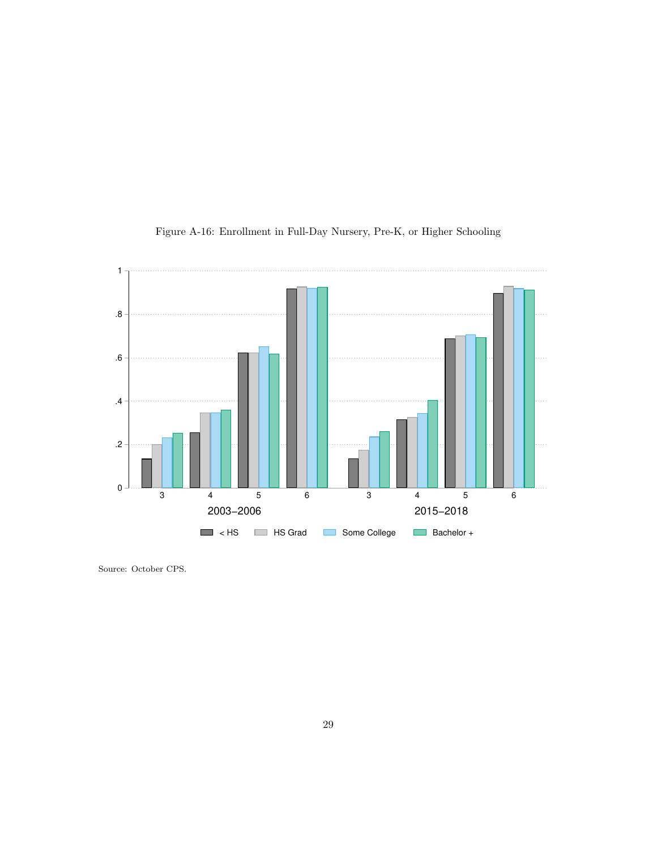

## Figure A-16: Enrollment in Full-Day Nursery, Pre-K, or Higher Schooling

Source: October CPS.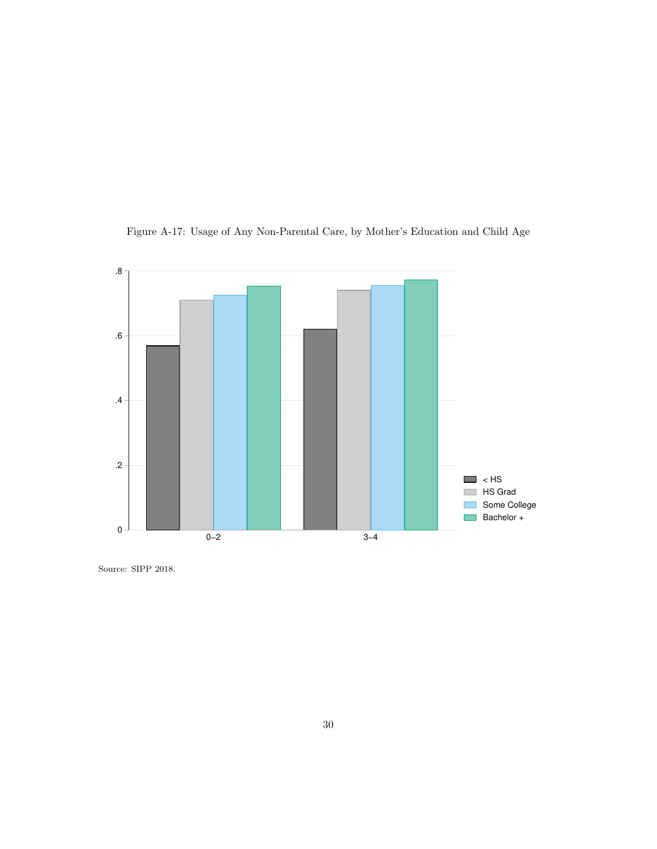

Figure A-17: Usage of Any Non-Parental Care, by Mother's Education and Child Age

Source: SIPP 2018.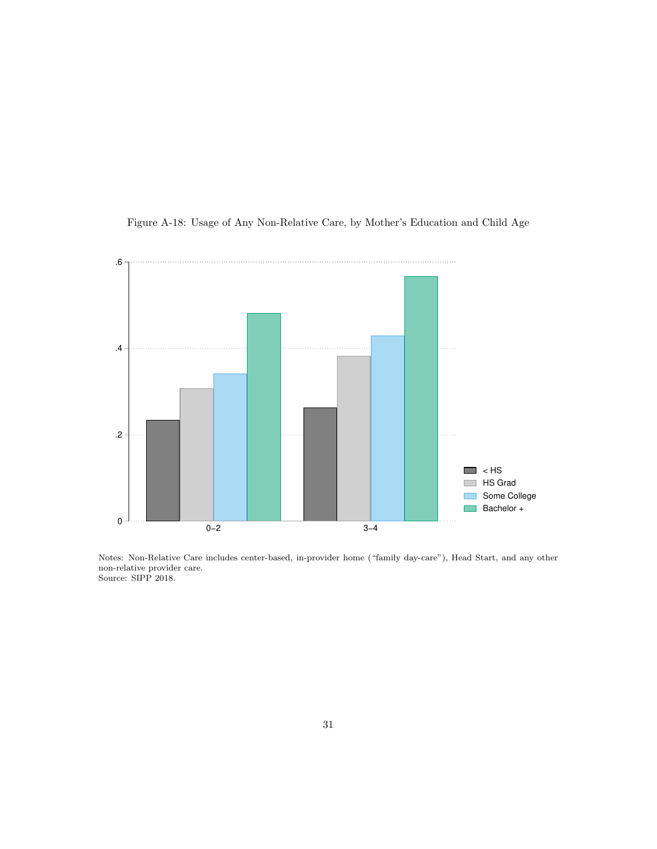

Figure A-18: Usage of Any Non-Relative Care, by Mother's Education and Child Age

Notes: Non-Relative Care includes center-based, in-provider home ("family day-care"), Head Start, and any other non-relative provider care. Source: SIPP 2018.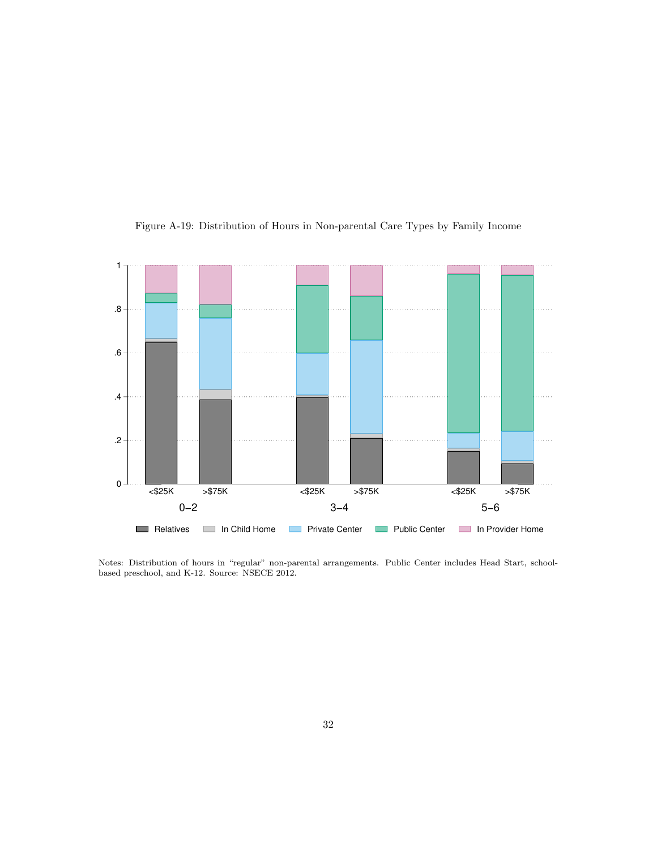

Figure A-19: Distribution of Hours in Non-parental Care Types by Family Income

Notes: Distribution of hours in "regular" non-parental arrangements. Public Center includes Head Start, schoolbased preschool, and K-12. Source: NSECE 2012.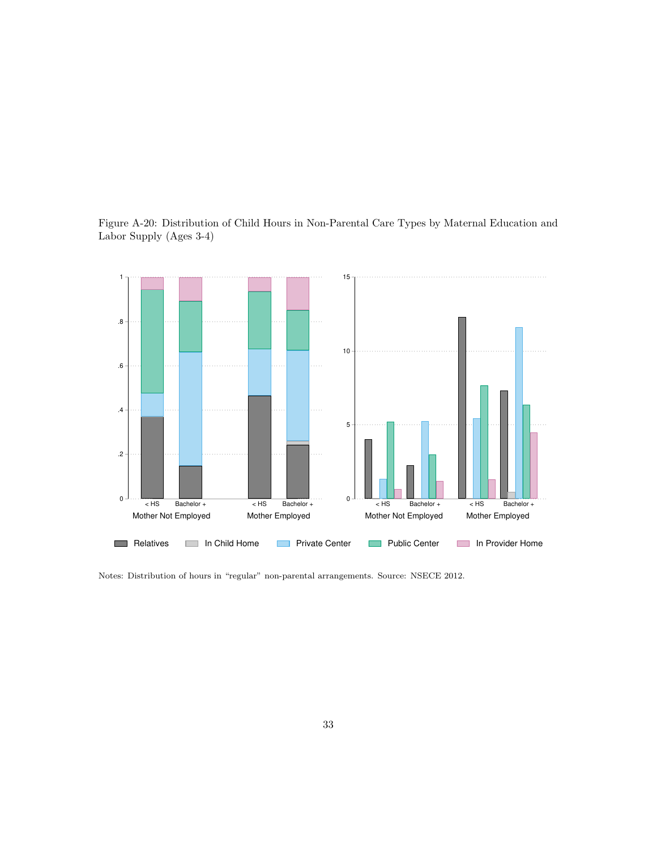![](_page_23_Figure_0.jpeg)

![](_page_23_Figure_1.jpeg)

Notes: Distribution of hours in "regular" non-parental arrangements. Source: NSECE 2012.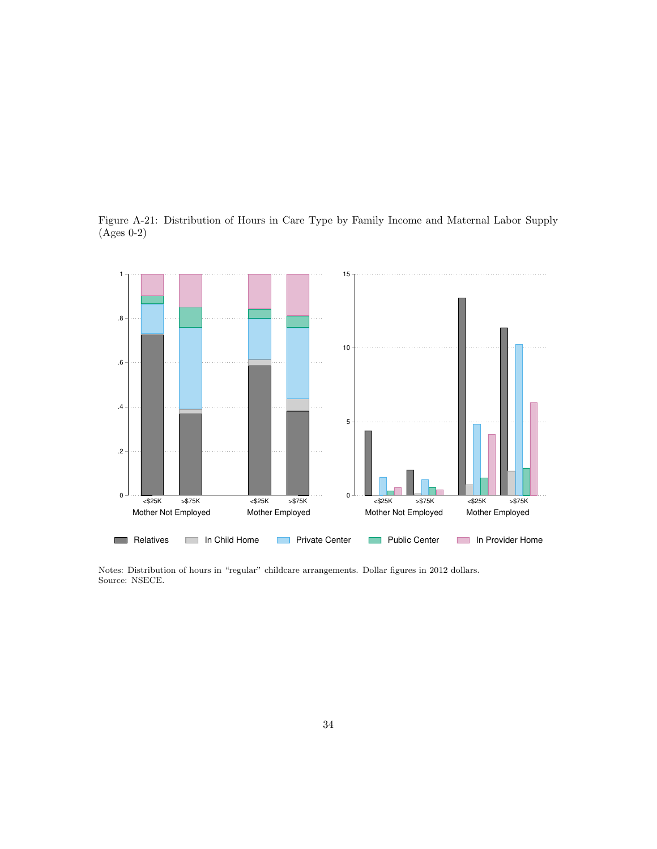Figure A-21: Distribution of Hours in Care Type by Family Income and Maternal Labor Supply (Ages 0-2)

![](_page_24_Figure_1.jpeg)

Notes: Distribution of hours in "regular" childcare arrangements. Dollar figures in 2012 dollars. Source: NSECE.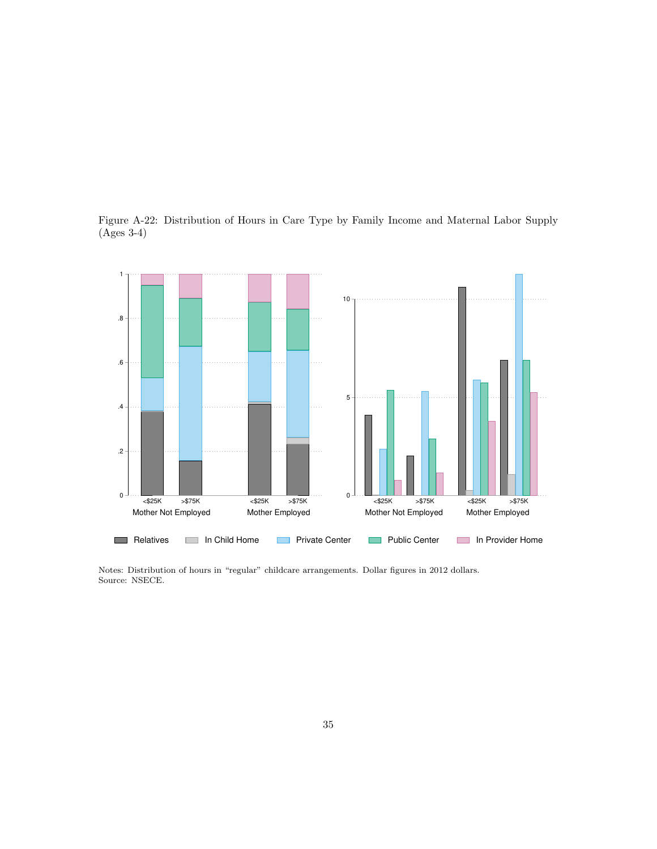Figure A-22: Distribution of Hours in Care Type by Family Income and Maternal Labor Supply (Ages 3-4)

![](_page_25_Figure_1.jpeg)

Notes: Distribution of hours in "regular" childcare arrangements. Dollar figures in 2012 dollars. Source: NSECE.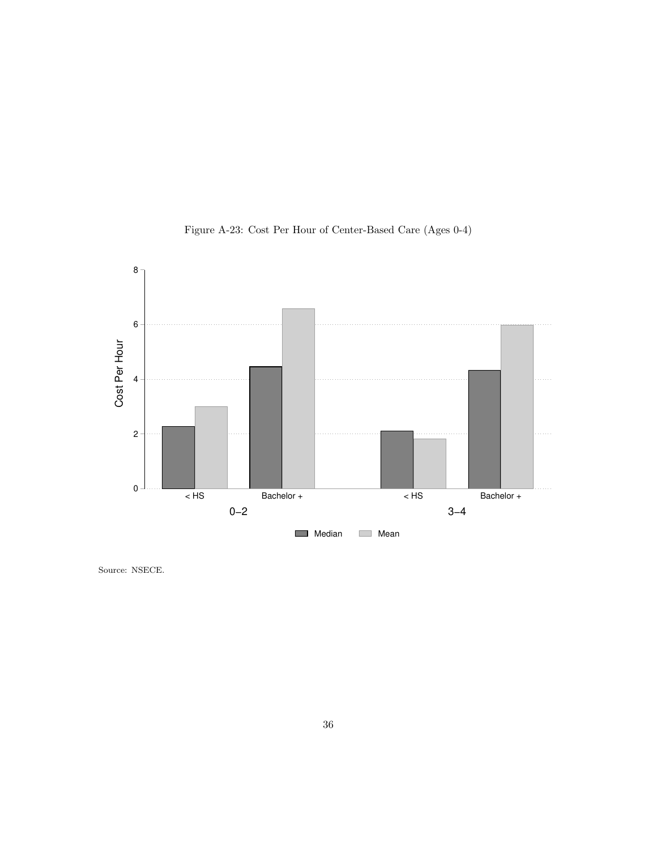![](_page_26_Figure_0.jpeg)

Figure A-23: Cost Per Hour of Center-Based Care (Ages 0-4)

Source: NSECE.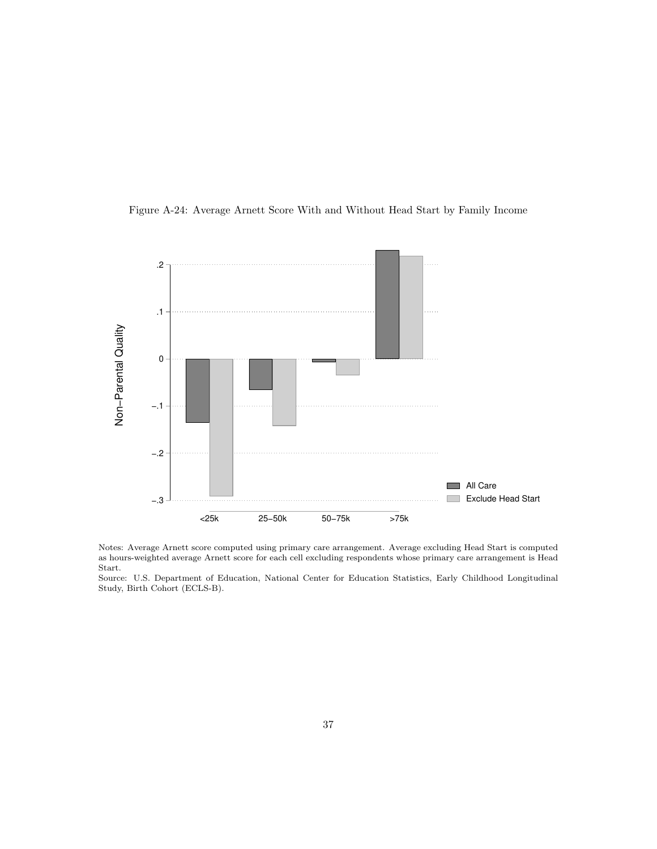![](_page_27_Figure_0.jpeg)

![](_page_27_Figure_1.jpeg)

Notes: Average Arnett score computed using primary care arrangement. Average excluding Head Start is computed as hours-weighted average Arnett score for each cell excluding respondents whose primary care arrangement is Head Start.

Source: U.S. Department of Education, National Center for Education Statistics, Early Childhood Longitudinal Study, Birth Cohort (ECLS-B).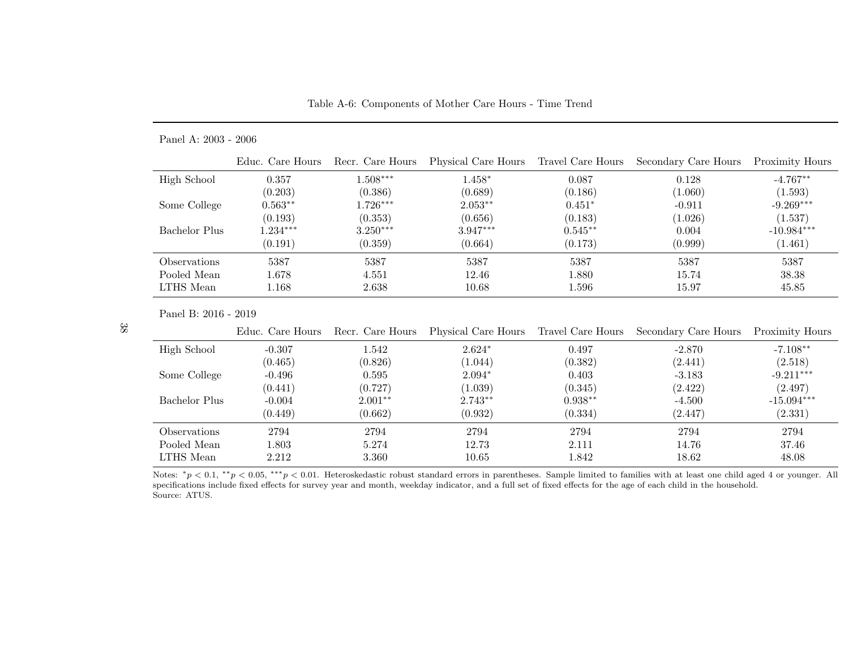| Table A-6: Components of Mother Care Hours - Time Trend |  |  |
|---------------------------------------------------------|--|--|

#### Panel A: 2003 - 2006

|               | Educ. Care Hours | Recr. Care Hours | Physical Care Hours | Travel Care Hours | Secondary Care Hours | Proximity Hours |
|---------------|------------------|------------------|---------------------|-------------------|----------------------|-----------------|
| High School   | 0.357            | $.508***$        | $1.458^*$           | 0.087             | 0.128                | $-4.767**$      |
|               | (0.203)          | (0.386)          | (0.689)             | (0.186)           | (1.060)              | (1.593)         |
| Some College  | $0.563**$        | $0.726***$       | $2.053**$           | $0.451*$          | $-0.911$             | $-9.269***$     |
|               | (0.193)          | (0.353)          | (0.656)             | (0.183)           | (1.026)              | (1.537)         |
| Bachelor Plus | $1.234***$       | $3.250***$       | $3.947***$          | $0.545**$         | 0.004                | $-10.984***$    |
|               | (0.191)          | (0.359)          | (0.664)             | (0.173)           | (0.999)              | (1.461)         |
| Observations  | 5387             | 5387             | 5387                | 5387              | 5387                 | 5387            |
| Pooled Mean   | 1.678            | 4.551            | 12.46               | 1.880             | 15.74                | 38.38           |
| LTHS Mean     | 1.168            | 2.638            | 10.68               | 1.596             | 15.97                | 45.85           |

Panel B: 2016 - 2019

|               | Educ. Care Hours | Recr. Care Hours | Physical Care Hours Travel Care Hours |           | Secondary Care Hours | Proximity Hours |
|---------------|------------------|------------------|---------------------------------------|-----------|----------------------|-----------------|
| High School   | $-0.307$         | 1.542            | $2.624*$                              | 0.497     | $-2.870$             | $-7.108**$      |
|               | (0.465)          | (0.826)          | (1.044)                               | (0.382)   | (2.441)              | (2.518)         |
| Some College  | $-0.496$         | 0.595            | $2.094*$                              | 0.403     | $-3.183$             | $-9.211***$     |
|               | (0.441)          | (0.727)          | (1.039)                               | (0.345)   | (2.422)              | (2.497)         |
| Bachelor Plus | $-0.004$         | $2.001**$        | $2.743**$                             | $0.938**$ | $-4.500$             | $-15.094***$    |
|               | (0.449)          | (0.662)          | (0.932)                               | (0.334)   | (2.447)              | (2.331)         |
| Observations  | 2794             | 2794             | 2794                                  | 2794      | 2794                 | 2794            |
| Pooled Mean   | 1.803            | 5.274            | 12.73                                 | 2.111     | 14.76                | 37.46           |
| LTHS Mean     | 2.212            | 3.360            | 10.65                                 | 1.842     | 18.62                | 48.08           |

Notes:  $*_p$  < 0.1,  $*_p$  < 0.05,  $^{**}p$  < 0.01. Heteroskedastic robust standard errors in parentheses. Sample limited to families with at least one child aged 4 or younger. All specifications include fixed effects for surv Source: ATUS.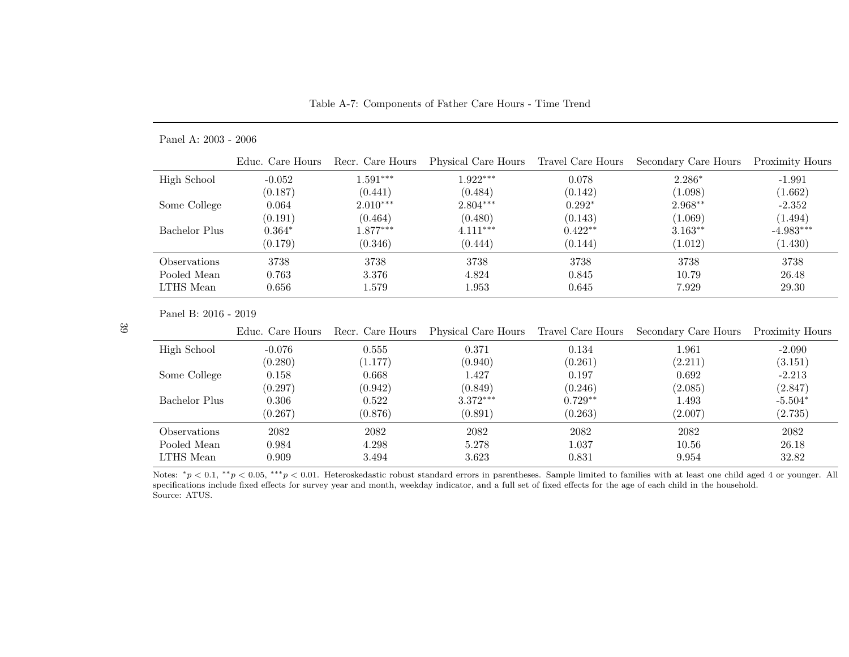Table A-7: Components of Father Care Hours - Time Trend

### Panel A: 2003 - 2006

|               | Educ. Care Hours | Recr. Care Hours | Physical Care Hours | Travel Care Hours | Secondary Care Hours | Proximity Hours |
|---------------|------------------|------------------|---------------------|-------------------|----------------------|-----------------|
| High School   | $-0.052$         | $0.591***$       | $1.922***$          | 0.078             | $2.286*$             | $-1.991$        |
|               | (0.187)          | (0.441)          | (0.484)             | (0.142)           | (1.098)              | (1.662)         |
| Some College  | 0.064            | $2.010***$       | $2.804***$          | $0.292*$          | $2.968**$            | $-2.352$        |
|               | (0.191)          | (0.464)          | (0.480)             | (0.143)           | (1.069)              | (1.494)         |
| Bachelor Plus | $0.364*$         | $.877***$        | $4.111***$          | $0.422**$         | $3.163**$            | $-4.983***$     |
|               | (0.179)          | (0.346)          | (0.444)             | (0.144)           | (1.012)              | (1.430)         |
| Observations  | 3738             | 3738             | 3738                | 3738              | 3738                 | 3738            |
| Pooled Mean   | 0.763            | 3.376            | 4.824               | 0.845             | 10.79                | 26.48           |
| LTHS Mean     | 0.656            | 1.579            | 1.953               | 0.645             | 7.929                | 29.30           |

Panel B: 2016 - 2019

|               | Educ. Care Hours | Recr. Care Hours | Physical Care Hours Travel Care Hours |           | Secondary Care Hours | Proximity Hours |
|---------------|------------------|------------------|---------------------------------------|-----------|----------------------|-----------------|
| High School   | $-0.076$         | 0.555            | 0.371                                 | 0.134     | 1.961                | $-2.090$        |
|               | (0.280)          | (1.177)          | (0.940)                               | (0.261)   | (2.211)              | (3.151)         |
| Some College  | 0.158            | 0.668            | 1.427                                 | 0.197     | 0.692                | $-2.213$        |
|               | (0.297)          | (0.942)          | (0.849)                               | (0.246)   | (2.085)              | (2.847)         |
| Bachelor Plus | 0.306            | 0.522            | $3.372***$                            | $0.729**$ | 1.493                | $-5.504*$       |
|               | (0.267)          | (0.876)          | (0.891)                               | (0.263)   | (2.007)              | (2.735)         |
| Observations  | 2082             | 2082             | 2082                                  | 2082      | 2082                 | 2082            |
| Pooled Mean   | 0.984            | 4.298            | 5.278                                 | 1.037     | 10.56                | 26.18           |
| LTHS Mean     | 0.909            | 3.494            | 3.623                                 | 0.831     | 9.954                | 32.82           |

Notes:  $*_p$  < 0.1,  $*_p$  < 0.05,  $^{**}p$  < 0.01. Heteroskedastic robust standard errors in parentheses. Sample limited to families with at least one child aged 4 or younger. All specifications include fixed effects for surv Source: ATUS.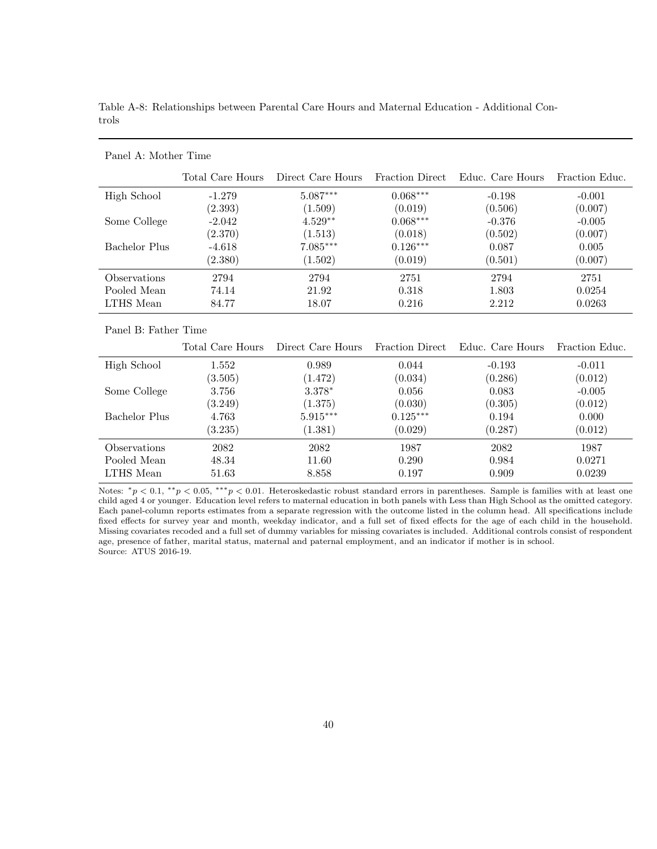| Total Care Hours | Direct Care Hours | <b>Fraction Direct</b> | Educ. Care Hours | Fraction Educ. |
|------------------|-------------------|------------------------|------------------|----------------|
| $-1.279$         | $5.087***$        | $0.068***$             | $-0.198$         | $-0.001$       |
| (2.393)          | (1.509)           | (0.019)                | (0.506)          | (0.007)        |
| $-2.042$         | $4.529**$         | $0.068***$             | $-0.376$         | $-0.005$       |
| (2.370)          | (1.513)           | (0.018)                | (0.502)          | (0.007)        |
| $-4.618$         | $7.085***$        | $0.126***$             | 0.087            | 0.005          |
| (2.380)          | (1.502)           | (0.019)                | (0.501)          | (0.007)        |
| 2794             | 2794              | 2751                   | 2794             | 2751           |
| 74.14            | 21.92             | 0.318                  | 1.803            | 0.0254         |
| 84.77            | 18.07             | 0.216                  | 2.212            | 0.0263         |
|                  |                   |                        |                  |                |

Table A-8: Relationships between Parental Care Hours and Maternal Education - Additional Controls

#### Panel B: Father Time

Panel A: Mother Time

|                            | Total Care Hours | Direct Care Hours | Fraction Direct | Educ. Care Hours | Fraction Educ. |
|----------------------------|------------------|-------------------|-----------------|------------------|----------------|
| High School                | 1.552            | 0.989             | 0.044           | $-0.193$         | $-0.011$       |
|                            | (3.505)          | (1.472)           | (0.034)         | (0.286)          | (0.012)        |
| Some College               | 3.756            | $3.378*$          | 0.056           | 0.083            | $-0.005$       |
|                            | (3.249)          | (1.375)           | (0.030)         | (0.305)          | (0.012)        |
| Bachelor Plus              | 4.763            | $5.915***$        | $0.125***$      | 0.194            | 0.000          |
|                            | (3.235)          | (1.381)           | (0.029)         | (0.287)          | (0.012)        |
| <i><b>Observations</b></i> | 2082             | 2082              | 1987            | 2082             | 1987           |
| Pooled Mean                | 48.34            | 11.60             | 0.290           | 0.984            | 0.0271         |
| LTHS Mean                  | 51.63            | 8.858             | 0.197           | 0.909            | 0.0239         |

Notes:  $*_p$  < 0.1,  $*_p$  < 0.05,  $^{***}p$  < 0.01. Heteroskedastic robust standard errors in parentheses. Sample is families with at least one child aged 4 or younger. Education level refers to maternal education in both panels with Less than High School as the omitted category. Each panel-column reports estimates from a separate regression with the outcome listed in the column head. All specifications include fixed effects for survey year and month, weekday indicator, and a full set of fixed effects for the age of each child in the household. Missing covariates recoded and a full set of dummy variables for missing covariates is included. Additional controls consist of respondent age, presence of father, marital status, maternal and paternal employment, and an indicator if mother is in school. Source: ATUS 2016-19.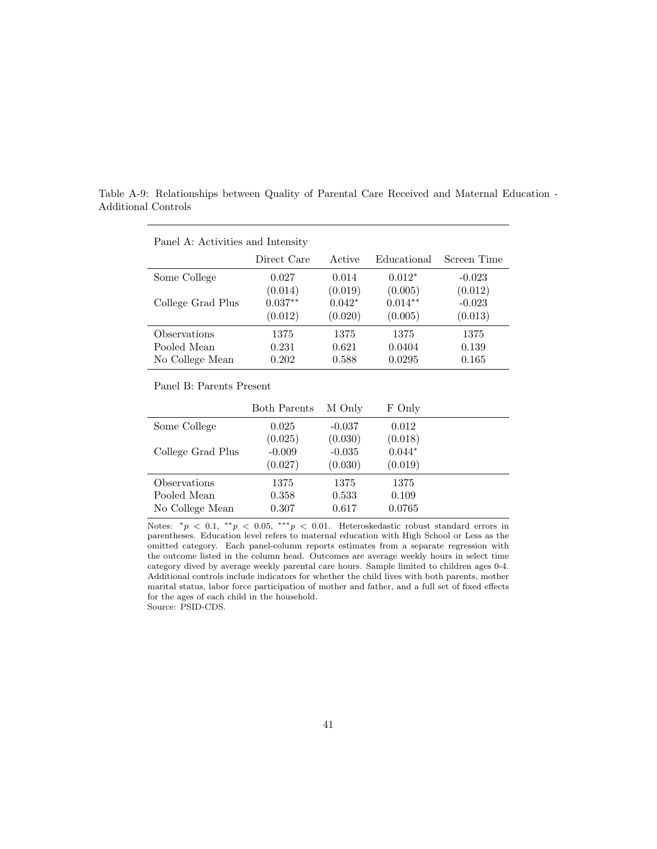Table A-9: Relationships between Quality of Parental Care Received and Maternal Education - Additional Controls

| Panel A: Activities and intensity |             |          |             |             |  |  |  |  |
|-----------------------------------|-------------|----------|-------------|-------------|--|--|--|--|
|                                   | Direct Care | Active   | Educational | Screen Time |  |  |  |  |
| Some College                      | 0.027       | 0.014    | $0.012*$    | $-0.023$    |  |  |  |  |
|                                   | (0.014)     | (0.019)  | (0.005)     | (0.012)     |  |  |  |  |
| College Grad Plus                 | $0.037**$   | $0.042*$ | $0.014**$   | $-0.023$    |  |  |  |  |
|                                   | (0.012)     | (0.020)  | (0.005)     | (0.013)     |  |  |  |  |
| Observations                      | 1375        | 1375     | 1375        | 1375        |  |  |  |  |
| Pooled Mean                       | 0.231       | 0.621    | 0.0404      | 0.139       |  |  |  |  |
| No College Mean                   | 0.202       | 0.588    | 0.0295      | 0.165       |  |  |  |  |

## Panel  $\Lambda$ : Activities and Intensity

#### Panel B: Parents Present

|                   | <b>Both Parents</b> | M Only   | F Only   |  |
|-------------------|---------------------|----------|----------|--|
| Some College      | 0.025               | $-0.037$ | 0.012    |  |
|                   | (0.025)             | (0.030)  | (0.018)  |  |
| College Grad Plus | $-0.009$            | $-0.035$ | $0.044*$ |  |
|                   | (0.027)             | (0.030)  | (0.019)  |  |
| Observations      | 1375                | 1375     | 1375     |  |
| Pooled Mean       | 0.358               | 0.533    | 0.109    |  |
| No College Mean   | 0.307               | 0.617    | 0.0765   |  |

Notes:  $*_p$  < 0.1,  $*_p$  < 0.05,  $^{***}p$  < 0.01. Heteroskedastic robust standard errors in parentheses. Education level refers to maternal education with High School or Less as the omitted category. Each panel-column reports estimates from a separate regression with the outcome listed in the column head. Outcomes are average weekly hours in select time category dived by average weekly parental care hours. Sample limited to children ages 0-4. Additional controls include indicators for whether the child lives with both parents, mother marital status, labor force participation of mother and father, and a full set of fixed effects for the ages of each child in the household. Source: PSID-CDS.

41